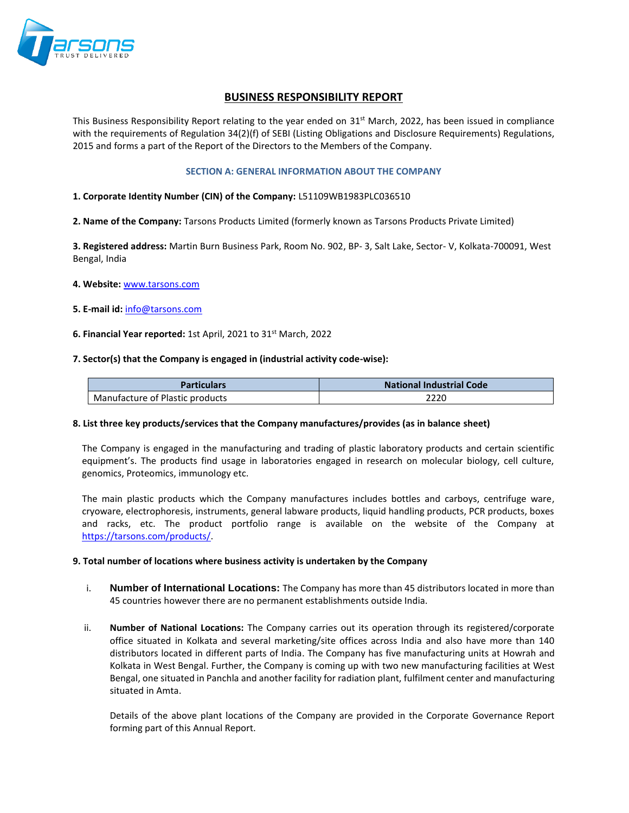

# **BUSINESS RESPONSIBILITY REPORT**

This Business Responsibility Report relating to the year ended on  $31^{st}$  March, 2022, has been issued in compliance with the requirements of Regulation 34(2)(f) of SEBI (Listing Obligations and Disclosure Requirements) Regulations, 2015 and forms a part of the Report of the Directors to the Members of the Company.

#### **SECTION A: GENERAL INFORMATION ABOUT THE COMPANY**

#### **1. Corporate Identity Number (CIN) of the Company:** L51109WB1983PLC036510

**2. Name of the Company:** Tarsons Products Limited (formerly known as Tarsons Products Private Limited)

**3. Registered address:** Martin Burn Business Park, Room No. 902, BP- 3, Salt Lake, Sector- V, Kolkata-700091, West Bengal, India

#### **4. Website:** [www.tarsons.com](http://www.tarsons.com/)

**5. E-mail id:** [info@tarsons.com](mailto:info@tarsons.com)

### **6. Financial Year reported:** 1st April, 2021 to 31st March, 2022

#### **7. Sector(s) that the Company is engaged in (industrial activity code-wise):**

| Particulars                     | <b>National Industrial Code</b> |  |  |  |  |
|---------------------------------|---------------------------------|--|--|--|--|
| Manufacture of Plastic products | 2220                            |  |  |  |  |

#### **8. List three key products/services that the Company manufactures/provides (as in balance sheet)**

The Company is engaged in the manufacturing and trading of plastic laboratory products and certain scientific equipment's. The products find usage in laboratories engaged in research on molecular biology, cell culture, genomics, Proteomics, immunology etc.

The main plastic products which the Company manufactures includes bottles and carboys, centrifuge ware, cryoware, electrophoresis, instruments, general labware products, liquid handling products, PCR products, boxes and racks, etc. The product portfolio range is available on the website of the Company at [https://tarsons.com/products/.](https://tarsons.com/products/)

#### **9. Total number of locations where business activity is undertaken by the Company**

- i. **Number of International Locations:** The Company has more than 45 distributors located in more than 45 countries however there are no permanent establishments outside India.
- ii. **Number of National Locations:** The Company carries out its operation through its registered/corporate office situated in Kolkata and several marketing/site offices across India and also have more than 140 distributors located in different parts of India. The Company has five manufacturing units at Howrah and Kolkata in West Bengal. Further, the Company is coming up with two new manufacturing facilities at West Bengal, one situated in Panchla and another facility for radiation plant, fulfilment center and manufacturing situated in Amta.

Details of the above plant locations of the Company are provided in the Corporate Governance Report forming part of this Annual Report.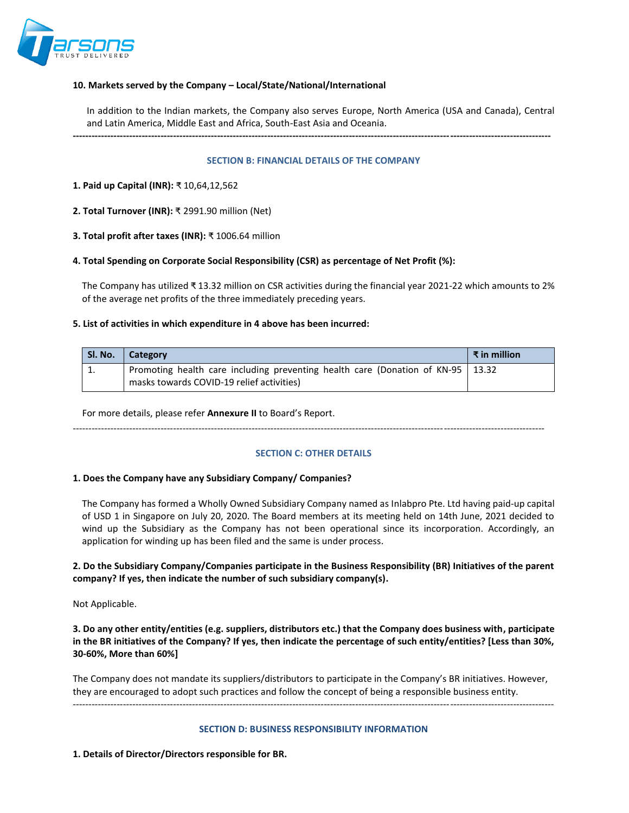

### **10. Markets served by the Company – Local/State/National/International**

In addition to the Indian markets, the Company also serves Europe, North America (USA and Canada), Central and Latin America, Middle East and Africa, South-East Asia and Oceania.

**--------------------------------------------------------------------------------------------------------------------------------------------------------**

#### **SECTION B: FINANCIAL DETAILS OF THE COMPANY**

**1. Paid up Capital (INR):** ₹ 10,64,12,562

**2. Total Turnover (INR):** ₹ 2991.90 million (Net)

**3. Total profit after taxes (INR):** ₹ 1006.64 million

### **4. Total Spending on Corporate Social Responsibility (CSR) as percentage of Net Profit (%):**

The Company has utilized ₹ 13.32 million on CSR activities during the financial year 2021-22 which amounts to 2% of the average net profits of the three immediately preceding years.

#### **5. List of activities in which expenditure in 4 above has been incurred:**

| Sl. No. | <b>Category</b>                                                                                                                | $\vert$ ₹ in million |
|---------|--------------------------------------------------------------------------------------------------------------------------------|----------------------|
|         | Promoting health care including preventing health care (Donation of KN-95   13.32<br>masks towards COVID-19 relief activities) |                      |

For more details, please refer **Annexure II** to Board's Report.

------------------------------------------------------------------------------------------------------------------------------------------------------

### **SECTION C: OTHER DETAILS**

#### **1. Does the Company have any Subsidiary Company/ Companies?**

The Company has formed a Wholly Owned Subsidiary Company named as Inlabpro Pte. Ltd having paid-up capital of USD 1 in Singapore on July 20, 2020. The Board members at its meeting held on 14th June, 2021 decided to wind up the Subsidiary as the Company has not been operational since its incorporation. Accordingly, an application for winding up has been filed and the same is under process.

### **2. Do the Subsidiary Company/Companies participate in the Business Responsibility (BR) Initiatives of the parent company? If yes, then indicate the number of such subsidiary company(s).**

Not Applicable.

**3. Do any other entity/entities (e.g. suppliers, distributors etc.) that the Company does business with, participate in the BR initiatives of the Company? If yes, then indicate the percentage of such entity/entities? [Less than 30%, 30-60%, More than 60%]** 

The Company does not mandate its suppliers/distributors to participate in the Company's BR initiatives. However, they are encouraged to adopt such practices and follow the concept of being a responsible business entity. ---------------------------------------------------------------------------------------------------------------------------------------------------------

#### **SECTION D: BUSINESS RESPONSIBILITY INFORMATION**

**1. Details of Director/Directors responsible for BR.**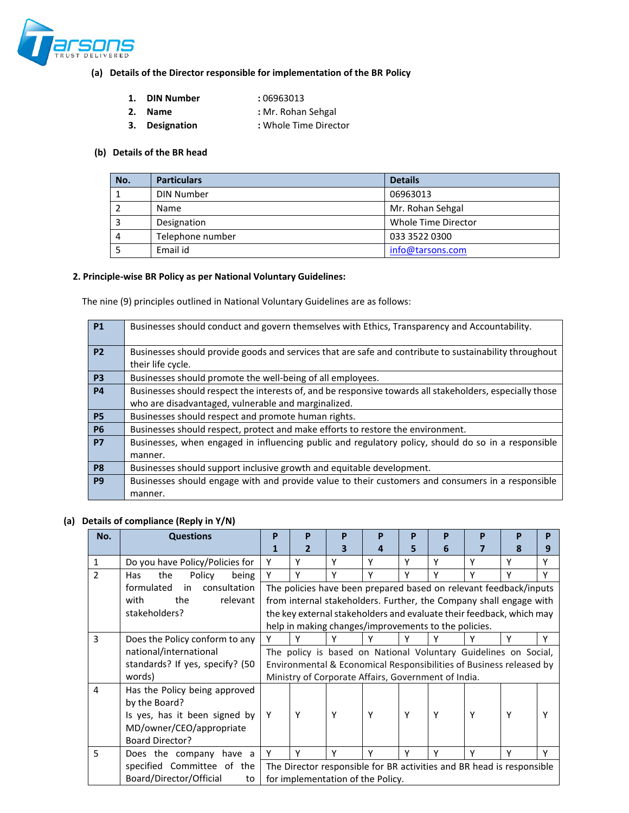

# **(a) Details of the Director responsible for implementation of the BR Policy**

- **1. DIN Number :** 06963013
- **2. Name :** Mr. Rohan Sehgal
- **3. Designation :** Whole Time Director

### **(b) Details of the BR head**

| No. | <b>Particulars</b>                 | <b>Details</b>   |
|-----|------------------------------------|------------------|
|     | <b>DIN Number</b>                  | 06963013         |
|     | Name                               | Mr. Rohan Sehgal |
|     | Whole Time Director<br>Designation |                  |
| 4   | Telephone number                   | 033 3522 0300    |
|     | Email id                           | info@tarsons.com |

### **2. Principle-wise BR Policy as per National Voluntary Guidelines:**

The nine (9) principles outlined in National Voluntary Guidelines are as follows:

| <b>P1</b>      | Businesses should conduct and govern themselves with Ethics, Transparency and Accountability.            |
|----------------|----------------------------------------------------------------------------------------------------------|
| <b>P2</b>      | Businesses should provide goods and services that are safe and contribute to sustainability throughout   |
|                | their life cycle.                                                                                        |
| P <sub>3</sub> | Businesses should promote the well-being of all employees.                                               |
| <b>P4</b>      | Businesses should respect the interests of, and be responsive towards all stakeholders, especially those |
|                | who are disadvantaged, vulnerable and marginalized.                                                      |
| <b>P5</b>      | Businesses should respect and promote human rights.                                                      |
| <b>P6</b>      | Businesses should respect, protect and make efforts to restore the environment.                          |
| <b>P7</b>      | Businesses, when engaged in influencing public and regulatory policy, should do so in a responsible      |
|                | manner.                                                                                                  |
| P <sub>8</sub> | Businesses should support inclusive growth and equitable development.                                    |
| P <sub>9</sub> | Businesses should engage with and provide value to their customers and consumers in a responsible        |
|                | manner.                                                                                                  |

### **(a) Details of compliance (Reply in Y/N)**

|                          |                                  | P                                                                     |              |   |                                                      |   |   |                                                                      |   |   |
|--------------------------|----------------------------------|-----------------------------------------------------------------------|--------------|---|------------------------------------------------------|---|---|----------------------------------------------------------------------|---|---|
| No.                      | <b>Questions</b>                 |                                                                       | P            | P | P                                                    | P | P | P                                                                    | P | P |
|                          |                                  |                                                                       | $\mathbf{2}$ | з | 4                                                    | 5 | 6 |                                                                      | 8 | 9 |
| $\mathbf{1}$             | Do you have Policy/Policies for  | Υ                                                                     | Y            | Υ | Υ                                                    | ۷ | γ | Υ                                                                    | ۷ | Υ |
| $\overline{\phantom{a}}$ | the<br>Policy<br>being<br>Has    | Y                                                                     | γ            | γ | ٧                                                    | v | ٧ |                                                                      |   | Y |
|                          | formulated<br>consultation<br>in |                                                                       |              |   |                                                      |   |   | The policies have been prepared based on relevant feedback/inputs    |   |   |
|                          | relevant<br>the<br>with          |                                                                       |              |   |                                                      |   |   | from internal stakeholders. Further, the Company shall engage with   |   |   |
|                          | stakeholders?                    |                                                                       |              |   |                                                      |   |   | the key external stakeholders and evaluate their feedback, which may |   |   |
|                          |                                  |                                                                       |              |   | help in making changes/improvements to the policies. |   |   |                                                                      |   |   |
| 3                        | Does the Policy conform to any   | Y                                                                     | ٧            | ٧ |                                                      |   |   |                                                                      | v | v |
|                          | national/international           |                                                                       |              |   |                                                      |   |   | The policy is based on National Voluntary Guidelines on Social,      |   |   |
|                          | standards? If yes, specify? (50  |                                                                       |              |   |                                                      |   |   | Environmental & Economical Responsibilities of Business released by  |   |   |
|                          | words)                           |                                                                       |              |   | Ministry of Corporate Affairs, Government of India.  |   |   |                                                                      |   |   |
| 4                        | Has the Policy being approved    |                                                                       |              |   |                                                      |   |   |                                                                      |   |   |
|                          | by the Board?                    |                                                                       |              |   |                                                      |   |   |                                                                      |   |   |
|                          | Is yes, has it been signed by    | Υ                                                                     | Υ            | Y | Y                                                    | Y | Υ | Y                                                                    | Υ |   |
|                          | MD/owner/CEO/appropriate         |                                                                       |              |   |                                                      |   |   |                                                                      |   |   |
|                          | <b>Board Director?</b>           |                                                                       |              |   |                                                      |   |   |                                                                      |   |   |
| 5                        | Does the company have a          | Υ                                                                     | γ            | Υ | Υ                                                    | ۷ | γ | Υ                                                                    | ۷ | Υ |
|                          | specified Committee of the       | The Director responsible for BR activities and BR head is responsible |              |   |                                                      |   |   |                                                                      |   |   |
|                          | Board/Director/Official<br>to    | for implementation of the Policy.                                     |              |   |                                                      |   |   |                                                                      |   |   |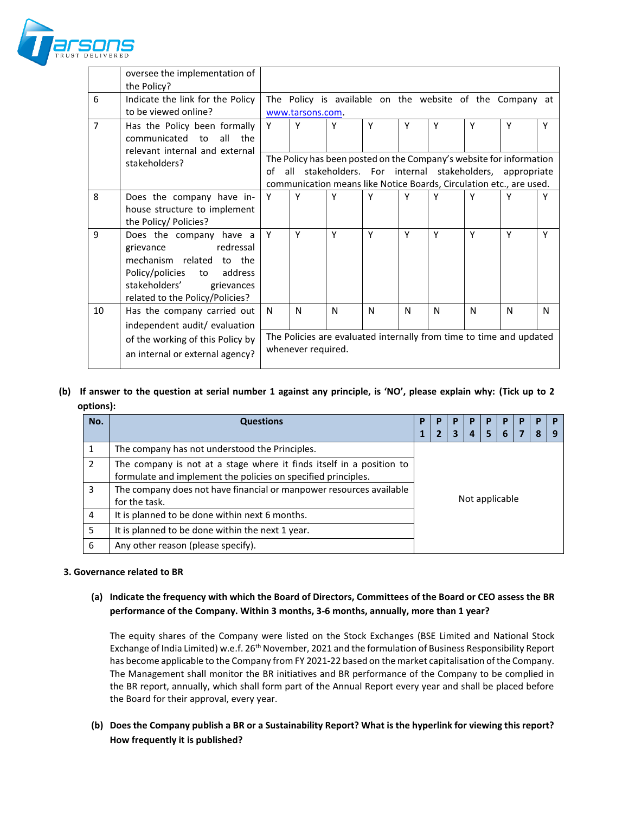

|                | oversee the implementation of<br>the Policy? |                                                                                                                                          |                                                                     |   |   |   |   |   |   |   |
|----------------|----------------------------------------------|------------------------------------------------------------------------------------------------------------------------------------------|---------------------------------------------------------------------|---|---|---|---|---|---|---|
| 6              | Indicate the link for the Policy             |                                                                                                                                          | The Policy is available on the website of the Company at            |   |   |   |   |   |   |   |
|                | to be viewed online?                         |                                                                                                                                          | www.tarsons.com.                                                    |   |   |   |   |   |   |   |
| $\overline{7}$ | Has the Policy been formally                 | Y                                                                                                                                        | Y                                                                   | Υ | Y | Υ | Y | Y | Y | Υ |
|                | communicated to<br>all<br>the                |                                                                                                                                          |                                                                     |   |   |   |   |   |   |   |
|                | relevant internal and external               |                                                                                                                                          |                                                                     |   |   |   |   |   |   |   |
|                | stakeholders?                                | The Policy has been posted on the Company's website for information<br>Ωf<br>stakeholders. For internal stakeholders, appropriate<br>all |                                                                     |   |   |   |   |   |   |   |
|                |                                              |                                                                                                                                          | communication means like Notice Boards, Circulation etc., are used. |   |   |   |   |   |   |   |
| 8              | Does the company have in-                    | Y                                                                                                                                        | Y                                                                   | Υ | Y | Y | ٧ | ۷ | Υ |   |
|                | house structure to implement                 |                                                                                                                                          |                                                                     |   |   |   |   |   |   |   |
|                | the Policy/ Policies?                        |                                                                                                                                          |                                                                     |   |   |   |   |   |   |   |
| 9              | Does the company have a                      | Y                                                                                                                                        | Y                                                                   | Y | Y | Y | Y | Y | Y | Y |
|                | redressal<br>grievance                       |                                                                                                                                          |                                                                     |   |   |   |   |   |   |   |
|                | mechanism related to the                     |                                                                                                                                          |                                                                     |   |   |   |   |   |   |   |
|                | Policy/policies<br>address<br>to             |                                                                                                                                          |                                                                     |   |   |   |   |   |   |   |
|                | stakeholders'<br>grievances                  |                                                                                                                                          |                                                                     |   |   |   |   |   |   |   |
| 10             | related to the Policy/Policies?              | N                                                                                                                                        | N                                                                   | N | N | N | N | N | N | N |
|                | Has the company carried out                  |                                                                                                                                          |                                                                     |   |   |   |   |   |   |   |
|                | independent audit/ evaluation                |                                                                                                                                          |                                                                     |   |   |   |   |   |   |   |
|                | of the working of this Policy by             | The Policies are evaluated internally from time to time and updated<br>whenever required.                                                |                                                                     |   |   |   |   |   |   |   |
|                | an internal or external agency?              |                                                                                                                                          |                                                                     |   |   |   |   |   |   |   |
|                |                                              |                                                                                                                                          |                                                                     |   |   |   |   |   |   |   |

### **(b) If answer to the question at serial number 1 against any principle, is 'NO', please explain why: (Tick up to 2 options):**

| No.           | <b>Questions</b>                                                                                                                      |                       |  |  | P |                  |  |  |  |
|---------------|---------------------------------------------------------------------------------------------------------------------------------------|-----------------------|--|--|---|------------------|--|--|--|
|               |                                                                                                                                       | 5<br>3<br>6<br>7<br>4 |  |  | 8 | $\mathbf \Omega$ |  |  |  |
|               | The company has not understood the Principles.                                                                                        |                       |  |  |   |                  |  |  |  |
| $\mathcal{P}$ | The company is not at a stage where it finds itself in a position to<br>formulate and implement the policies on specified principles. |                       |  |  |   |                  |  |  |  |
| 3             | The company does not have financial or manpower resources available<br>for the task.                                                  | Not applicable        |  |  |   |                  |  |  |  |
| 4             | It is planned to be done within next 6 months.                                                                                        |                       |  |  |   |                  |  |  |  |
| 5             | It is planned to be done within the next 1 year.                                                                                      |                       |  |  |   |                  |  |  |  |
| 6             | Any other reason (please specify).                                                                                                    |                       |  |  |   |                  |  |  |  |

### **3. Governance related to BR**

### **(a) Indicate the frequency with which the Board of Directors, Committees of the Board or CEO assess the BR performance of the Company. Within 3 months, 3-6 months, annually, more than 1 year?**

The equity shares of the Company were listed on the Stock Exchanges (BSE Limited and National Stock Exchange of India Limited) w.e.f. 26th November, 2021 and the formulation of Business Responsibility Report has become applicable to the Company from FY 2021-22 based on the market capitalisation of the Company. The Management shall monitor the BR initiatives and BR performance of the Company to be complied in the BR report, annually, which shall form part of the Annual Report every year and shall be placed before the Board for their approval, every year.

**(b) Does the Company publish a BR or a Sustainability Report? What is the hyperlink for viewing this report? How frequently it is published?**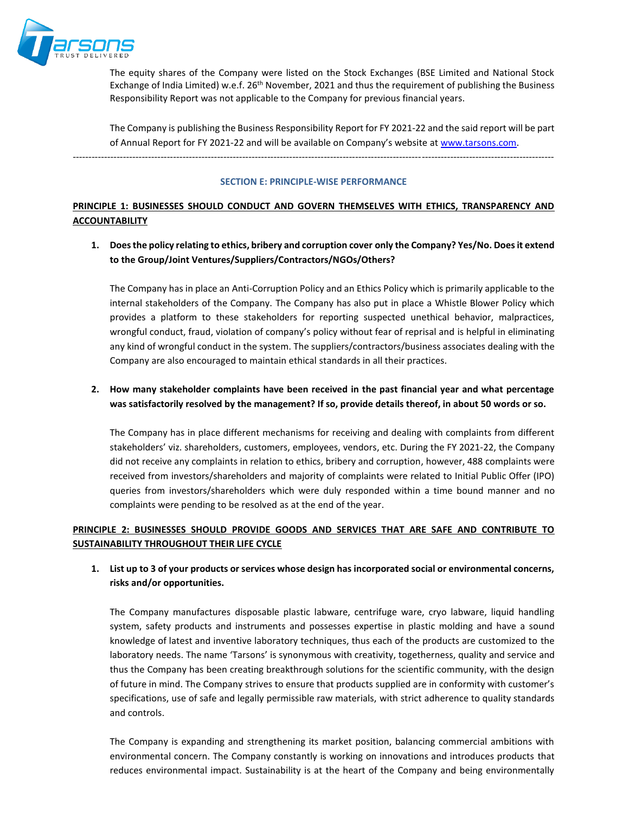

The equity shares of the Company were listed on the Stock Exchanges (BSE Limited and National Stock Exchange of India Limited) w.e.f. 26<sup>th</sup> November, 2021 and thus the requirement of publishing the Business Responsibility Report was not applicable to the Company for previous financial years.

The Company is publishing the Business Responsibility Report for FY 2021-22 and the said report will be part of Annual Report for FY 2021-22 and will be available on Company's website at [www.tarsons.com.](http://www.tarsons.com/)

---------------------------------------------------------------------------------------------------------------------------------------------------------

#### **SECTION E: PRINCIPLE-WISE PERFORMANCE**

# **PRINCIPLE 1: BUSINESSES SHOULD CONDUCT AND GOVERN THEMSELVES WITH ETHICS, TRANSPARENCY AND ACCOUNTABILITY**

**1. Does the policy relating to ethics, bribery and corruption cover only the Company? Yes/No. Does it extend to the Group/Joint Ventures/Suppliers/Contractors/NGOs/Others?**

The Company has in place an Anti-Corruption Policy and an Ethics Policy which is primarily applicable to the internal stakeholders of the Company. The Company has also put in place a Whistle Blower Policy which provides a platform to these stakeholders for reporting suspected unethical behavior, malpractices, wrongful conduct, fraud, violation of company's policy without fear of reprisal and is helpful in eliminating any kind of wrongful conduct in the system. The suppliers/contractors/business associates dealing with the Company are also encouraged to maintain ethical standards in all their practices.

# **2. How many stakeholder complaints have been received in the past financial year and what percentage was satisfactorily resolved by the management? If so, provide details thereof, in about 50 words or so.**

The Company has in place different mechanisms for receiving and dealing with complaints from different stakeholders' viz. shareholders, customers, employees, vendors, etc. During the FY 2021-22, the Company did not receive any complaints in relation to ethics, bribery and corruption, however, 488 complaints were received from investors/shareholders and majority of complaints were related to Initial Public Offer (IPO) queries from investors/shareholders which were duly responded within a time bound manner and no complaints were pending to be resolved as at the end of the year.

# **PRINCIPLE 2: BUSINESSES SHOULD PROVIDE GOODS AND SERVICES THAT ARE SAFE AND CONTRIBUTE TO SUSTAINABILITY THROUGHOUT THEIR LIFE CYCLE**

## **1. List up to 3 of your products or services whose design has incorporated social or environmental concerns, risks and/or opportunities.**

The Company manufactures disposable plastic labware, centrifuge ware, cryo labware, liquid handling system, safety products and instruments and possesses expertise in plastic molding and have a sound knowledge of latest and inventive laboratory techniques, thus each of the products are customized to the laboratory needs. The name 'Tarsons' is synonymous with creativity, togetherness, quality and service and thus the Company has been creating breakthrough solutions for the scientific community, with the design of future in mind. The Company strives to ensure that products supplied are in conformity with customer's specifications, use of safe and legally permissible raw materials, with strict adherence to quality standards and controls.

The Company is expanding and strengthening its market position, balancing commercial ambitions with environmental concern. The Company constantly is working on innovations and introduces products that reduces environmental impact. Sustainability is at the heart of the Company and being environmentally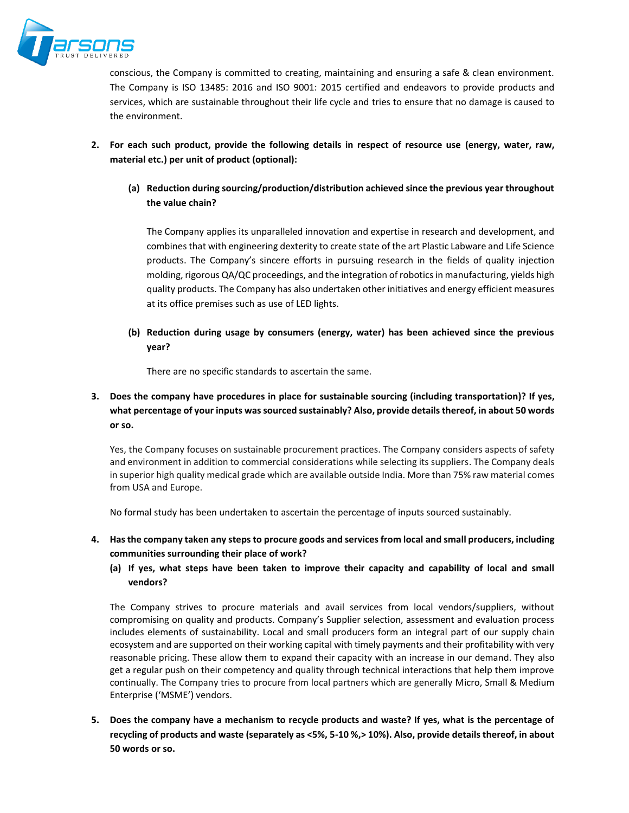

conscious, the Company is committed to creating, maintaining and ensuring a safe & clean environment. The Company is ISO 13485: 2016 and ISO 9001: 2015 certified and endeavors to provide products and services, which are sustainable throughout their life cycle and tries to ensure that no damage is caused to the environment.

- **2. For each such product, provide the following details in respect of resource use (energy, water, raw, material etc.) per unit of product (optional):**
	- **(a) Reduction during sourcing/production/distribution achieved since the previous year throughout the value chain?**

The Company applies its unparalleled innovation and expertise in research and development, and combines that with engineering dexterity to create state of the art Plastic Labware and Life Science products. The Company's sincere efforts in pursuing research in the fields of quality injection molding, rigorous QA/QC proceedings, and the integration of robotics in manufacturing, yields high quality products. The Company has also undertaken other initiatives and energy efficient measures at its office premises such as use of LED lights.

**(b) Reduction during usage by consumers (energy, water) has been achieved since the previous year?**

There are no specific standards to ascertain the same.

# **3. Does the company have procedures in place for sustainable sourcing (including transportation)? If yes, what percentage of your inputs was sourced sustainably? Also, provide details thereof, in about 50 words or so.**

Yes, the Company focuses on sustainable procurement practices. The Company considers aspects of safety and environment in addition to commercial considerations while selecting its suppliers. The Company deals in superior high quality medical grade which are available outside India. More than 75% raw material comes from USA and Europe.

No formal study has been undertaken to ascertain the percentage of inputs sourced sustainably.

- **4. Has the company taken any steps to procure goods and services from local and small producers, including communities surrounding their place of work?**
	- **(a) If yes, what steps have been taken to improve their capacity and capability of local and small vendors?**

The Company strives to procure materials and avail services from local vendors/suppliers, without compromising on quality and products. Company's Supplier selection, assessment and evaluation process includes elements of sustainability. Local and small producers form an integral part of our supply chain ecosystem and are supported on their working capital with timely payments and their profitability with very reasonable pricing. These allow them to expand their capacity with an increase in our demand. They also get a regular push on their competency and quality through technical interactions that help them improve continually. The Company tries to procure from local partners which are generally Micro, Small & Medium Enterprise ('MSME') vendors.

**5. Does the company have a mechanism to recycle products and waste? If yes, what is the percentage of recycling of products and waste (separately as <5%, 5-10 %,> 10%). Also, provide details thereof, in about 50 words or so.**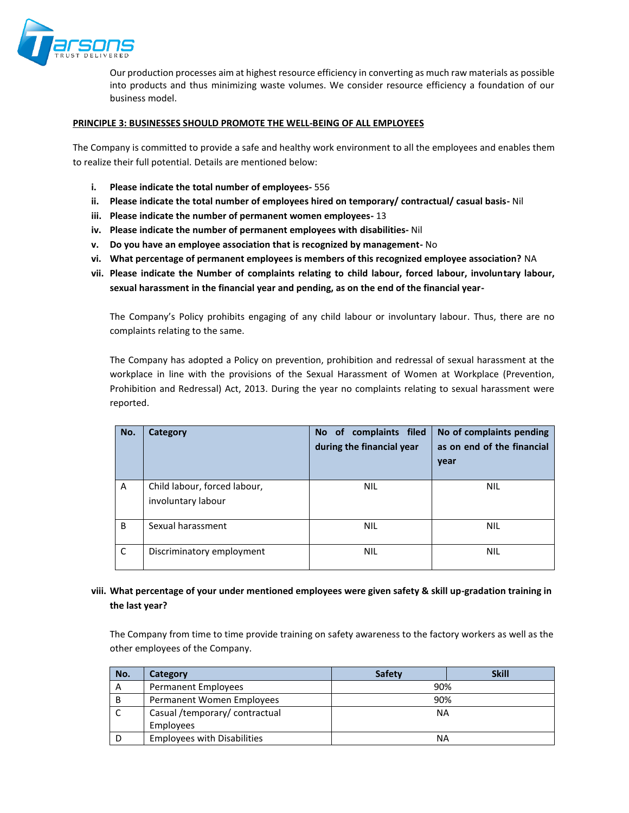

Our production processes aim at highest resource efficiency in converting as much raw materials as possible into products and thus minimizing waste volumes. We consider resource efficiency a foundation of our business model.

#### **PRINCIPLE 3: BUSINESSES SHOULD PROMOTE THE WELL-BEING OF ALL EMPLOYEES**

The Company is committed to provide a safe and healthy work environment to all the employees and enables them to realize their full potential. Details are mentioned below:

- **i. Please indicate the total number of employees-** 556
- **ii. Please indicate the total number of employees hired on temporary/ contractual/ casual basis-** Nil
- **iii. Please indicate the number of permanent women employees-** 13
- **iv. Please indicate the number of permanent employees with disabilities-** Nil
- **v. Do you have an employee association that is recognized by management-** No
- **vi. What percentage of permanent employees is members of this recognized employee association?** NA
- **vii. Please indicate the Number of complaints relating to child labour, forced labour, involuntary labour, sexual harassment in the financial year and pending, as on the end of the financial year-**

The Company's Policy prohibits engaging of any child labour or involuntary labour. Thus, there are no complaints relating to the same.

The Company has adopted a Policy on prevention, prohibition and redressal of sexual harassment at the workplace in line with the provisions of the Sexual Harassment of Women at Workplace (Prevention, Prohibition and Redressal) Act, 2013. During the year no complaints relating to sexual harassment were reported.

| No. | Category                                           | complaints filed<br>No of<br>during the financial year | No of complaints pending<br>as on end of the financial<br>year |
|-----|----------------------------------------------------|--------------------------------------------------------|----------------------------------------------------------------|
| A   | Child labour, forced labour,<br>involuntary labour | <b>NIL</b>                                             | <b>NIL</b>                                                     |
| B   | Sexual harassment                                  | <b>NIL</b>                                             | <b>NIL</b>                                                     |
| C   | Discriminatory employment                          | <b>NIL</b>                                             | <b>NIL</b>                                                     |

### **viii. What percentage of your under mentioned employees were given safety & skill up-gradation training in the last year?**

The Company from time to time provide training on safety awareness to the factory workers as well as the other employees of the Company.

| No. | Category                           | <b>Safety</b> | <b>Skill</b> |  |  |  |  |
|-----|------------------------------------|---------------|--------------|--|--|--|--|
| A   | Permanent Employees                | 90%           |              |  |  |  |  |
| B   | Permanent Women Employees          | 90%           |              |  |  |  |  |
|     | Casual /temporary/ contractual     | NA            |              |  |  |  |  |
|     | Employees                          |               |              |  |  |  |  |
|     | <b>Employees with Disabilities</b> | ΝA            |              |  |  |  |  |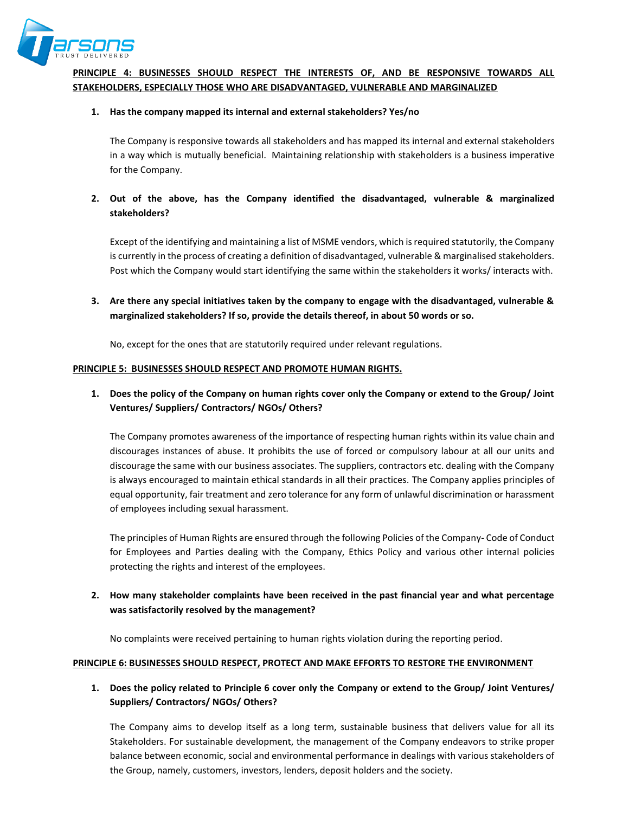

# **PRINCIPLE 4: BUSINESSES SHOULD RESPECT THE INTERESTS OF, AND BE RESPONSIVE TOWARDS ALL STAKEHOLDERS, ESPECIALLY THOSE WHO ARE DISADVANTAGED, VULNERABLE AND MARGINALIZED**

### **1. Has the company mapped its internal and external stakeholders? Yes/no**

The Company is responsive towards all stakeholders and has mapped its internal and external stakeholders in a way which is mutually beneficial. Maintaining relationship with stakeholders is a business imperative for the Company.

## **2. Out of the above, has the Company identified the disadvantaged, vulnerable & marginalized stakeholders?**

Except of the identifying and maintaining a list of MSME vendors, which is required statutorily, the Company is currently in the process of creating a definition of disadvantaged, vulnerable & marginalised stakeholders. Post which the Company would start identifying the same within the stakeholders it works/ interacts with.

**3. Are there any special initiatives taken by the company to engage with the disadvantaged, vulnerable & marginalized stakeholders? If so, provide the details thereof, in about 50 words or so.**

No, except for the ones that are statutorily required under relevant regulations.

### **PRINCIPLE 5: BUSINESSES SHOULD RESPECT AND PROMOTE HUMAN RIGHTS.**

# **1. Does the policy of the Company on human rights cover only the Company or extend to the Group/ Joint Ventures/ Suppliers/ Contractors/ NGOs/ Others?**

The Company promotes awareness of the importance of respecting human rights within its value chain and discourages instances of abuse. It prohibits the use of forced or compulsory labour at all our units and discourage the same with our business associates. The suppliers, contractors etc. dealing with the Company is always encouraged to maintain ethical standards in all their practices. The Company applies principles of equal opportunity, fair treatment and zero tolerance for any form of unlawful discrimination or harassment of employees including sexual harassment.

The principles of Human Rights are ensured through the following Policies of the Company- Code of Conduct for Employees and Parties dealing with the Company, Ethics Policy and various other internal policies protecting the rights and interest of the employees.

## **2. How many stakeholder complaints have been received in the past financial year and what percentage was satisfactorily resolved by the management?**

No complaints were received pertaining to human rights violation during the reporting period.

#### **PRINCIPLE 6: BUSINESSES SHOULD RESPECT, PROTECT AND MAKE EFFORTS TO RESTORE THE ENVIRONMENT**

## **1. Does the policy related to Principle 6 cover only the Company or extend to the Group/ Joint Ventures/ Suppliers/ Contractors/ NGOs/ Others?**

The Company aims to develop itself as a long term, sustainable business that delivers value for all its Stakeholders. For sustainable development, the management of the Company endeavors to strike proper balance between economic, social and environmental performance in dealings with various stakeholders of the Group, namely, customers, investors, lenders, deposit holders and the society.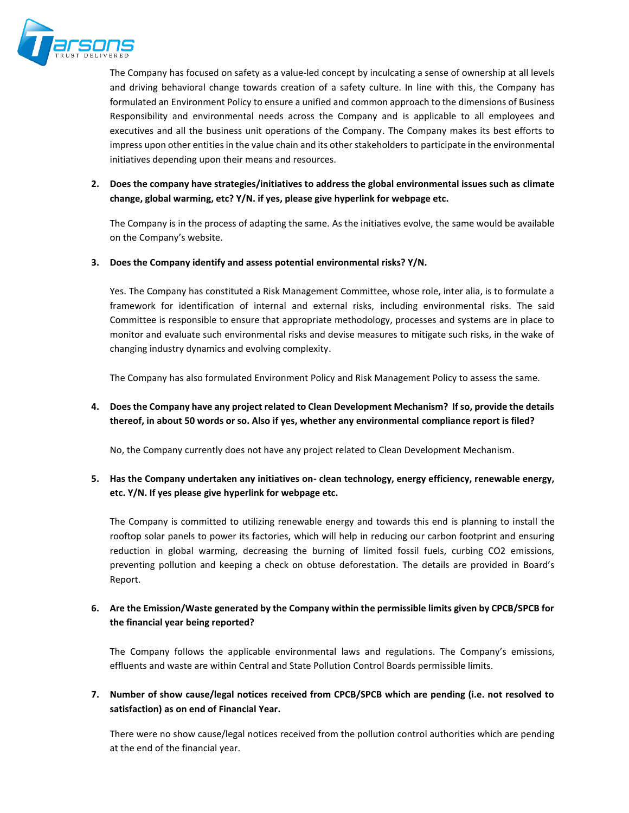

The Company has focused on safety as a value-led concept by inculcating a sense of ownership at all levels and driving behavioral change towards creation of a safety culture. In line with this, the Company has formulated an Environment Policy to ensure a unified and common approach to the dimensions of Business Responsibility and environmental needs across the Company and is applicable to all employees and executives and all the business unit operations of the Company. The Company makes its best efforts to impress upon other entities in the value chain and its other stakeholders to participate in the environmental initiatives depending upon their means and resources.

**2. Does the company have strategies/initiatives to address the global environmental issues such as climate change, global warming, etc? Y/N. if yes, please give hyperlink for webpage etc.**

The Company is in the process of adapting the same. As the initiatives evolve, the same would be available on the Company's website.

### **3. Does the Company identify and assess potential environmental risks? Y/N.**

Yes. The Company has constituted a Risk Management Committee, whose role, inter alia, is to formulate a framework for identification of internal and external risks, including environmental risks. The said Committee is responsible to ensure that appropriate methodology, processes and systems are in place to monitor and evaluate such environmental risks and devise measures to mitigate such risks, in the wake of changing industry dynamics and evolving complexity.

The Company has also formulated Environment Policy and Risk Management Policy to assess the same.

## **4. Does the Company have any project related to Clean Development Mechanism? If so, provide the details thereof, in about 50 words or so. Also if yes, whether any environmental compliance report is filed?**

No, the Company currently does not have any project related to Clean Development Mechanism.

## **5. Has the Company undertaken any initiatives on- clean technology, energy efficiency, renewable energy, etc. Y/N. If yes please give hyperlink for webpage etc.**

The Company is committed to utilizing renewable energy and towards this end is planning to install the rooftop solar panels to power its factories, which will help in reducing our carbon footprint and ensuring reduction in global warming, decreasing the burning of limited fossil fuels, curbing CO2 emissions, preventing pollution and keeping a check on obtuse deforestation. The details are provided in Board's Report.

## **6. Are the Emission/Waste generated by the Company within the permissible limits given by CPCB/SPCB for the financial year being reported?**

The Company follows the applicable environmental laws and regulations. The Company's emissions, effluents and waste are within Central and State Pollution Control Boards permissible limits.

### **7. Number of show cause/legal notices received from CPCB/SPCB which are pending (i.e. not resolved to satisfaction) as on end of Financial Year.**

There were no show cause/legal notices received from the pollution control authorities which are pending at the end of the financial year.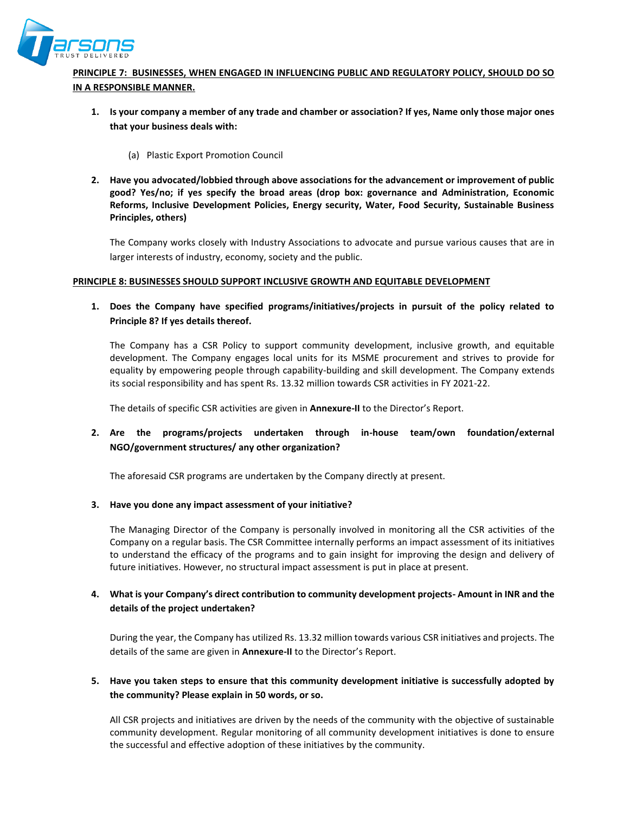

# **PRINCIPLE 7: BUSINESSES, WHEN ENGAGED IN INFLUENCING PUBLIC AND REGULATORY POLICY, SHOULD DO SO IN A RESPONSIBLE MANNER.**

- **1. Is your company a member of any trade and chamber or association? If yes, Name only those major ones that your business deals with:**
	- (a) Plastic Export Promotion Council
- **2. Have you advocated/lobbied through above associations for the advancement or improvement of public good? Yes/no; if yes specify the broad areas (drop box: governance and Administration, Economic Reforms, Inclusive Development Policies, Energy security, Water, Food Security, Sustainable Business Principles, others)**

The Company works closely with Industry Associations to advocate and pursue various causes that are in larger interests of industry, economy, society and the public.

#### **PRINCIPLE 8: BUSINESSES SHOULD SUPPORT INCLUSIVE GROWTH AND EQUITABLE DEVELOPMENT**

**1. Does the Company have specified programs/initiatives/projects in pursuit of the policy related to Principle 8? If yes details thereof.**

The Company has a CSR Policy to support community development, inclusive growth, and equitable development. The Company engages local units for its MSME procurement and strives to provide for equality by empowering people through capability-building and skill development. The Company extends its social responsibility and has spent Rs. 13.32 million towards CSR activities in FY 2021-22.

The details of specific CSR activities are given in **Annexure-II** to the Director's Report.

## **2. Are the programs/projects undertaken through in-house team/own foundation/external NGO/government structures/ any other organization?**

The aforesaid CSR programs are undertaken by the Company directly at present.

### **3. Have you done any impact assessment of your initiative?**

The Managing Director of the Company is personally involved in monitoring all the CSR activities of the Company on a regular basis. The CSR Committee internally performs an impact assessment of its initiatives to understand the efficacy of the programs and to gain insight for improving the design and delivery of future initiatives. However, no structural impact assessment is put in place at present.

### **4. What is your Company's direct contribution to community development projects- Amount in INR and the details of the project undertaken?**

During the year, the Company has utilized Rs. 13.32 million towards various CSR initiatives and projects. The details of the same are given in **Annexure-II** to the Director's Report.

## **5. Have you taken steps to ensure that this community development initiative is successfully adopted by the community? Please explain in 50 words, or so.**

All CSR projects and initiatives are driven by the needs of the community with the objective of sustainable community development. Regular monitoring of all community development initiatives is done to ensure the successful and effective adoption of these initiatives by the community.